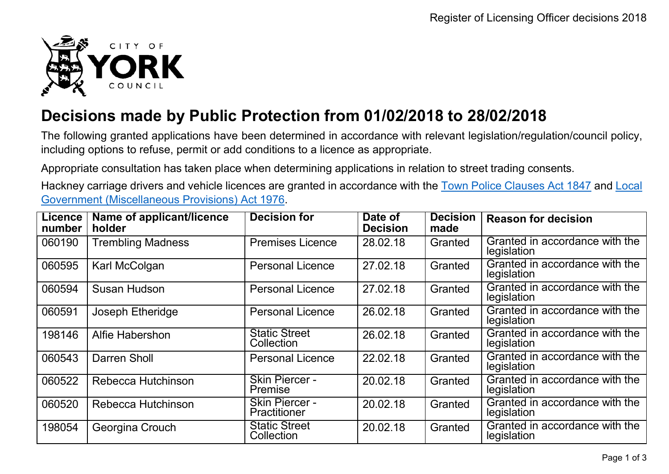

## **Decisions made by Public Protection from 01/02/2018 to 28/02/2018**

The following granted applications have been determined in accordance with relevant legislation/regulation/council policy, including options to refuse, permit or add conditions to a licence as appropriate.

Appropriate consultation has taken place when determining applications in relation to street trading consents.

Hackney carriage drivers and vehicle licences are granted in accordance with the Town Police [Clauses](http://www.legislation.gov.uk/ukpga/Vict/10-11/89) Act 1847 and [Local](http://www.legislation.gov.uk/ukpga/1976/57) [Government \(Miscellaneous Provisions\) Act 1976.](http://www.legislation.gov.uk/ukpga/1976/57)

| <b>Licence</b><br>number | Name of applicant/licence<br><b>holder</b> | <b>Decision for</b>                   | Date of<br><b>Decision</b> | <b>Decision</b><br>made | <b>Reason for decision</b>                    |
|--------------------------|--------------------------------------------|---------------------------------------|----------------------------|-------------------------|-----------------------------------------------|
| 060190                   | <b>Trembling Madness</b>                   | <b>Premises Licence</b>               | 28.02.18                   | Granted                 | Granted in accordance with the<br>legislation |
| 060595                   | Karl McColgan                              | <b>Personal Licence</b>               | 27.02.18                   | Granted                 | Granted in accordance with the<br>legislation |
| 060594                   | Susan Hudson                               | <b>Personal Licence</b>               | 27.02.18                   | Granted                 | Granted in accordance with the<br>legislation |
| 060591                   | Joseph Etheridge                           | <b>Personal Licence</b>               | 26.02.18                   | Granted                 | Granted in accordance with the<br>legislation |
| 198146                   | <b>Alfie Habershon</b>                     | <b>Static Street</b><br>Collection    | 26.02.18                   | Granted                 | Granted in accordance with the<br>legislation |
| 060543                   | Darren Sholl                               | <b>Personal Licence</b>               | 22.02.18                   | Granted                 | Granted in accordance with the<br>legislation |
| 060522                   | Rebecca Hutchinson                         | <b>Skin Piercer -</b><br>Premise      | 20.02.18                   | Granted                 | Granted in accordance with the<br>legislation |
| 060520                   | Rebecca Hutchinson                         | <b>Skin Piercer -</b><br>Practitioner | 20.02.18                   | Granted                 | Granted in accordance with the<br>legislation |
| 198054                   | Georgina Crouch                            | <b>Static Street</b><br>Collection    | 20.02.18                   | Granted                 | Granted in accordance with the<br>legislation |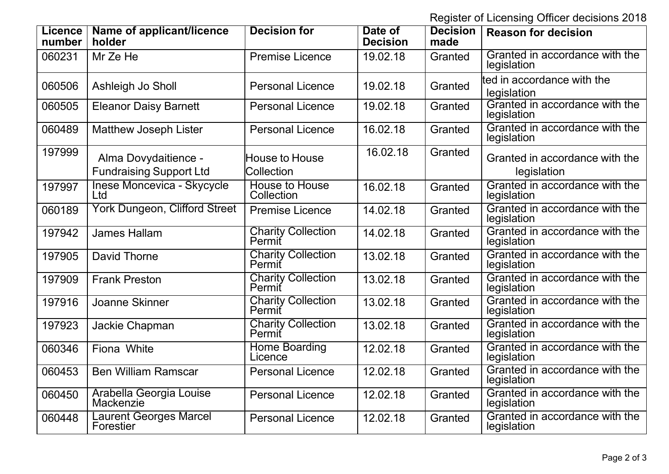Register of Licensing Officer decisions 2018

| <b>Licence</b><br>number | Name of applicant/licence<br>holder      | <b>Decision for</b>                 | Date of<br><b>Decision</b> | <b>Decision</b><br>made | <b>Reason for decision</b>                    |
|--------------------------|------------------------------------------|-------------------------------------|----------------------------|-------------------------|-----------------------------------------------|
| 060231                   | Mr Ze He                                 | <b>Premise Licence</b>              | 19.02.18                   | Granted                 | Granted in accordance with the<br>legislation |
| 060506                   | Ashleigh Jo Sholl                        | <b>Personal Licence</b>             | 19.02.18                   | Granted                 | lted in accordance with the<br>legislation    |
| 060505                   | <b>Eleanor Daisy Barnett</b>             | <b>Personal Licence</b>             | 19.02.18                   | Granted                 | Granted in accordance with the<br>legislation |
| 060489                   | <b>Matthew Joseph Lister</b>             | <b>Personal Licence</b>             | 16.02.18                   | Granted                 | Granted in accordance with the<br>legislation |
| 197999                   | Alma Dovydaitience -                     | <b>House to House</b>               | 16.02.18                   | Granted                 | Granted in accordance with the                |
|                          | <b>Fundraising Support Ltd</b>           | Collection                          |                            |                         | legislation                                   |
| 197997                   | Inese Moncevica - Skycycle<br><b>Ltd</b> | <b>House to House</b><br>Collection | 16.02.18                   | Granted                 | Granted in accordance with the<br>legislation |
| 060189                   | <b>York Dungeon, Clifford Street</b>     | <b>Premise Licence</b>              | 14.02.18                   | Granted                 | Granted in accordance with the<br>legislation |
| 197942                   | <b>James Hallam</b>                      | <b>Charity Collection</b><br>Permit | 14.02.18                   | Granted                 | Granted in accordance with the<br>legislation |
| 197905                   | David Thorne                             | <b>Charity Collection</b><br>Permit | 13.02.18                   | Granted                 | Granted in accordance with the<br>legislation |
| 197909                   | <b>Frank Preston</b>                     | <b>Charity Collection</b><br>Permit | 13.02.18                   | Granted                 | Granted in accordance with the<br>legislation |
| 197916                   | <b>Joanne Skinner</b>                    | <b>Charity Collection</b><br>Permit | 13.02.18                   | Granted                 | Granted in accordance with the<br>legislation |
| 197923                   | <b>Jackie Chapman</b>                    | <b>Charity Collection</b><br>Permit | 13.02.18                   | Granted                 | Granted in accordance with the<br>legislation |
| 060346                   | Fiona White                              | Home Boarding<br>Licence            | 12.02.18                   | Granted                 | Granted in accordance with the<br>legislation |
| 060453                   | <b>Ben William Ramscar</b>               | <b>Personal Licence</b>             | 12.02.18                   | Granted                 | Granted in accordance with the<br>legislation |
| 060450                   | Arabella Georgia Louise<br>Mackenzie     | <b>Personal Licence</b>             | 12.02.18                   | Granted                 | Granted in accordance with the<br>legislation |
| 060448                   | Laurent Georges Marcel<br>Forestier      | <b>Personal Licence</b>             | 12.02.18                   | Granted                 | Granted in accordance with the<br>legislation |